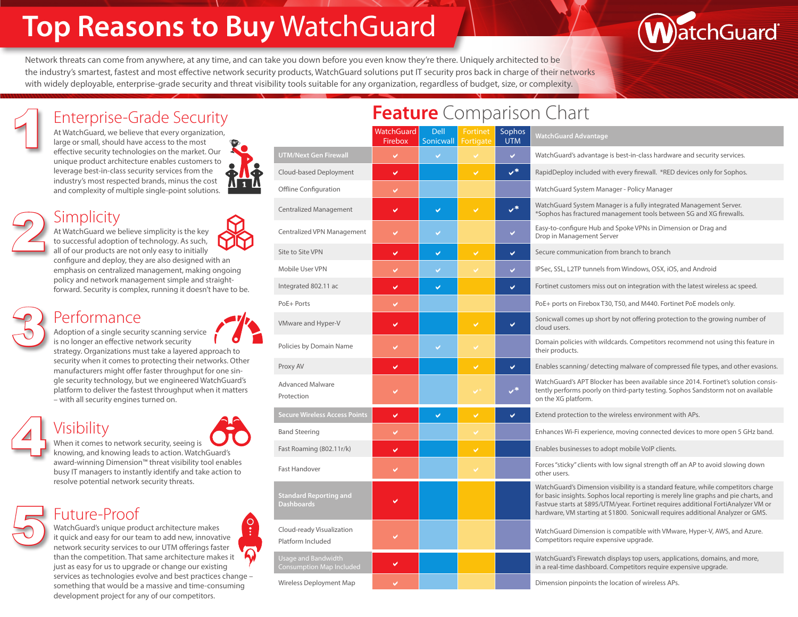# **Top Reasons to Buy** WatchGuard

Network threats can come from anywhere, at any time, and can take you down before you even know they're there. Uniquely architected to be the industry's smartest, fastest and most effective network security products, WatchGuard solutions put IT security pros back in charge of their networks with widely deployable, enterprise-grade security and threat visibility tools suitable for any organization, regardless of budget, size, or complexity.



At WatchGuard, we believe that every organization, large or small, should have access to the most effective security technologies on the market. Our unique product architecture enables customers to leverage best-in-class security services from the industry's most respected brands, minus the cost and complexity of multiple single-point solutions.



At WatchGuard we believe simplicity is the key to successful adoption of technology. As such, all of our products are not only easy to initially configure and deploy, they are also designed with an emphasis on centralized management, making ongoing policy and network management simple and straight-**Simplicity** 

3 Performance



Adoption of a single security scanning service is no longer an effective network security

strategy. Organizations must take a layered approach to security when it comes to protecting their networks. Other manufacturers might offer faster throughput for one single security technology, but we engineered WatchGuard's platform to deliver the fastest throughput when it matters – with all security engines turned on.

forward. Security is complex, running it doesn't have to be.

## 4 Visibility

5

2

1



When it comes to network security, seeing is knowing, and knowing leads to action. WatchGuard's award-winning Dimension™ threat visibility tool enables busy IT managers to instantly identify and take action to resolve potential network security threats.

#### Future-Proof

WatchGuard's unique product architecture makes it quick and easy for our team to add new, innovative network security services to our UTM offerings faster than the competition. That same architecture makes it just as easy for us to upgrade or change our existing services as technologies evolve and best practices change – something that would be a massive and time-consuming development project for any of our competitors.

|                                                    |                              |                          | -------               |                      |                                                                                                                                                                                                                                                                          |
|----------------------------------------------------|------------------------------|--------------------------|-----------------------|----------------------|--------------------------------------------------------------------------------------------------------------------------------------------------------------------------------------------------------------------------------------------------------------------------|
|                                                    | WatchGuard<br><b>Firebox</b> | <b>Dell</b><br>Sonicwall | Fortinet<br>Fortigate | Sophos<br><b>UTM</b> | <b>WatchGuard Advantage</b>                                                                                                                                                                                                                                              |
| <b>UTM/Next Gen Firewall</b>                       |                              | $\checkmark$             |                       | V.                   | WatchGuard's advantage is best-in-class hardware and security                                                                                                                                                                                                            |
| Cloud-based Deployment                             | ✓                            |                          | $\checkmark$          | $V^*$                | RapidDeploy included with every firewall. *RED devices only f                                                                                                                                                                                                            |
| Offline Configuration                              |                              |                          |                       |                      | WatchGuard System Manager - Policy Manager                                                                                                                                                                                                                               |
| Centralized Management                             | ✔                            | V                        | $\checkmark$          | $V^*$                | WatchGuard System Manager is a fully integrated Managemer<br>*Sophos has fractured management tools between SG and XG                                                                                                                                                    |
| Centralized VPN Management                         |                              | V                        |                       | ✓                    | Easy-to-configure Hub and Spoke VPNs in Dimension or Drag a<br>Drop in Management Server                                                                                                                                                                                 |
| Site to Site VPN                                   | ✔                            | U                        | V                     | V                    | Secure communication from branch to branch                                                                                                                                                                                                                               |
| Mobile User VPN                                    |                              | V                        |                       | V                    | IPSec, SSL, L2TP tunnels from Windows, OSX, iOS, and Android                                                                                                                                                                                                             |
| Integrated 802.11 ac                               | ✓                            | U                        |                       | Ō.                   | Fortinet customers miss out on integration with the latest wire                                                                                                                                                                                                          |
| PoE+ Ports                                         |                              |                          |                       |                      | PoE+ ports on Firebox T30, T50, and M440. Fortinet PoE model                                                                                                                                                                                                             |
| VMware and Hyper-V                                 | ✓                            |                          | $\checkmark$          | V                    | Sonicwall comes up short by not offering protection to the gro<br>cloud users.                                                                                                                                                                                           |
| Policies by Domain Name                            |                              | V                        |                       |                      | Domain policies with wildcards. Competitors recommend not<br>their products.                                                                                                                                                                                             |
| Proxy AV                                           | ✓                            |                          | V                     | Ō.                   | Enables scanning/ detecting malware of compressed file types                                                                                                                                                                                                             |
| <b>Advanced Malware</b><br>Protection              |                              |                          |                       | ِ≉ر                  | WatchGuard's APT Blocker has been available since 2014. Forti<br>tently performs poorly on third-party testing. Sophos Sandsto<br>on the XG platform.                                                                                                                    |
| <b>Secure Wireless Access Points</b>               | ✓                            | U                        | V                     | Ō.                   | Extend protection to the wireless environment with APs.                                                                                                                                                                                                                  |
| <b>Band Steering</b>                               |                              |                          |                       |                      | Enhances Wi-Fi experience, moving connected devices to mor                                                                                                                                                                                                               |
| Fast Roaming (802.11r/k)                           | ✓                            |                          | $\checkmark$          |                      | Enables businesses to adopt mobile VoIP clients.                                                                                                                                                                                                                         |
| <b>Fast Handover</b>                               | ✓                            |                          |                       |                      | Forces "sticky" clients with low signal strength off an AP to avo<br>other users.                                                                                                                                                                                        |
| <b>Standard Reporting and</b><br><b>Dashboards</b> |                              |                          |                       |                      | WatchGuard's Dimension visibility is a standard feature, while<br>for basic insights. Sophos local reporting is merely line graphs<br>Fastvue starts at \$895/UTM/year. Fortinet requires additional F<br>hardware, VM starting at \$1800. Sonicwall requires additional |
| Cloud-ready Visualization<br>Platform Included     |                              |                          |                       |                      | WatchGuard Dimension is compatible with VMware, Hyper-V, a<br>Competitors require expensive upgrade.                                                                                                                                                                     |
| Usage and Bandwidth<br>Consumption Map Included    |                              |                          |                       |                      | WatchGuard's Firewatch displays top users, applications, doma<br>in a real-time dashboard. Competitors require expensive upgra                                                                                                                                           |
| Wireless Deployment Map                            |                              |                          |                       |                      | Dimension pinpoints the location of wireless APs.                                                                                                                                                                                                                        |

## Enterprise-Grade Security **Feature** Comparison Chart

|                                                        | WatchGuard  <br>Firebox | Dell<br>Sonicwall | Fortinet<br><b>Fortigate</b> | Sophos<br><b>UTM</b> | <b>WatchGuard Advantage</b>                                                                                                                                                                                                                                                                                                                        |
|--------------------------------------------------------|-------------------------|-------------------|------------------------------|----------------------|----------------------------------------------------------------------------------------------------------------------------------------------------------------------------------------------------------------------------------------------------------------------------------------------------------------------------------------------------|
| <b>UTM/Next Gen Firewall</b>                           | $\checkmark$            | V                 |                              | V.                   | WatchGuard's advantage is best-in-class hardware and security services.                                                                                                                                                                                                                                                                            |
| Cloud-based Deployment                                 | ✓                       |                   | $\mathcal{L}$                | $V^*$                | RapidDeploy included with every firewall. *RED devices only for Sophos.                                                                                                                                                                                                                                                                            |
| Offline Configuration                                  | V                       |                   |                              |                      | WatchGuard System Manager - Policy Manager                                                                                                                                                                                                                                                                                                         |
| Centralized Management                                 | V                       | $\checkmark$      | U                            | $V^*$                | WatchGuard System Manager is a fully integrated Management Server.<br>*Sophos has fractured management tools between SG and XG firewalls.                                                                                                                                                                                                          |
| Centralized VPN Management                             | $\checkmark$            | $\checkmark$      |                              | V.                   | Easy-to-configure Hub and Spoke VPNs in Dimension or Drag and<br>Drop in Management Server                                                                                                                                                                                                                                                         |
| Site to Site VPN                                       | ✔                       | $\checkmark$      | $\checkmark$                 | $\checkmark$         | Secure communication from branch to branch                                                                                                                                                                                                                                                                                                         |
| Mobile User VPN                                        | Ō.                      | V                 |                              | V.                   | IPSec, SSL, L2TP tunnels from Windows, OSX, iOS, and Android                                                                                                                                                                                                                                                                                       |
| Integrated 802.11 ac                                   | V                       | V                 |                              | V                    | Fortinet customers miss out on integration with the latest wireless ac speed.                                                                                                                                                                                                                                                                      |
| PoE+ Ports                                             | V                       |                   |                              |                      | PoE+ ports on Firebox T30, T50, and M440. Fortinet PoE models only.                                                                                                                                                                                                                                                                                |
| VMware and Hyper-V                                     | V                       |                   | V                            | V                    | Sonicwall comes up short by not offering protection to the growing number of<br>cloud users.                                                                                                                                                                                                                                                       |
| Policies by Domain Name                                | $\checkmark$            | $\checkmark$      |                              |                      | Domain policies with wildcards. Competitors recommend not using this feature in<br>their products.                                                                                                                                                                                                                                                 |
| Proxy AV                                               | ✓                       |                   | V                            | V                    | Enables scanning/ detecting malware of compressed file types, and other evasions.                                                                                                                                                                                                                                                                  |
| <b>Advanced Malware</b><br>Protection                  | ✔                       |                   |                              | $V^*$                | WatchGuard's APT Blocker has been available since 2014. Fortinet's solution consis-<br>tently performs poorly on third-party testing. Sophos Sandstorm not on available<br>on the XG platform.                                                                                                                                                     |
| <b>Secure Wireless Access Points</b>                   | ✓                       | $\checkmark$      | V                            | V                    | Extend protection to the wireless environment with APs.                                                                                                                                                                                                                                                                                            |
| <b>Band Steering</b>                                   | ✓                       |                   |                              |                      | Enhances Wi-Fi experience, moving connected devices to more open 5 GHz band.                                                                                                                                                                                                                                                                       |
| Fast Roaming (802.11r/k)                               | V                       |                   | U                            |                      | Enables businesses to adopt mobile VoIP clients.                                                                                                                                                                                                                                                                                                   |
| Fast Handover                                          | ✓                       |                   |                              |                      | Forces "sticky" clients with low signal strength off an AP to avoid slowing down<br>other users.                                                                                                                                                                                                                                                   |
| <b>Standard Reporting and</b><br><b>Dashboards</b>     | ✔                       |                   |                              |                      | WatchGuard's Dimension visibility is a standard feature, while competitors charge<br>for basic insights. Sophos local reporting is merely line graphs and pie charts, and<br>Fastvue starts at \$895/UTM/year. Fortinet requires additional FortiAnalyzer VM or<br>hardware, VM starting at \$1800. Sonicwall requires additional Analyzer or GMS. |
| Cloud-ready Visualization<br>Platform Included         |                         |                   |                              |                      | WatchGuard Dimension is compatible with VMware, Hyper-V, AWS, and Azure.<br>Competitors require expensive upgrade.                                                                                                                                                                                                                                 |
| <b>Usage and Bandwidth</b><br>Consumption Map Included | ✓                       |                   |                              |                      | WatchGuard's Firewatch displays top users, applications, domains, and more,<br>in a real-time dashboard. Competitors require expensive upgrade.                                                                                                                                                                                                    |
| والمستوجب ومستحل ويتعادل ومحاجبنا المتنا               |                         |                   |                              |                      | Discovered and advantage that the continue of colorations A De                                                                                                                                                                                                                                                                                     |